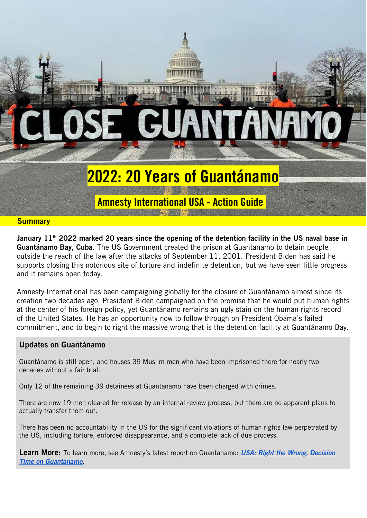

#### January  $11<sup>th</sup>$  2022 marked 20 years since the opening of the detention facility in the US naval base in Guantánamo Bay, Cuba. The US Government created the prison at Guantanamo to detain people outside the reach of the law after the attacks of September 11, 2001. President Biden has said he supports closing this notorious site of torture and indefinite detention, but we have seen little progress and it remains open today.

Amnesty International has been campaigning globally for the closure of Guantánamo almost since its creation two decades ago. President Biden campaigned on the promise that he would put human rights at the center of his foreign policy, yet Guantánamo remains an ugly stain on the human rights record of the United States. He has an opportunity now to follow through on President Obama's failed commitment, and to begin to right the massive wrong that is the detention facility at Guantánamo Bay.

#### Updates on Guantánamo

Guantánamo is still open, and houses 39 Muslim men who have been imprisoned there for nearly two decades without a fair trial.

Only 12 of the remaining 39 detainees at Guantanamo have been charged with crimes.

There are now 19 men cleared for release by an internal review process, but there are no apparent plans to actually transfer them out.

There has been no accountability in the US for the significant violations of human rights law perpetrated by the US, including torture, enforced disappearance, and a complete lack of due process.

Learn More: To learn more, see Amnesty's latest report on Guantanamo: *[USA: Right the Wrong, Decision](https://www.amnesty.org/en/documents/amr51/3474/2021/en/)  [Time on Guantanamo](https://www.amnesty.org/en/documents/amr51/3474/2021/en/)*.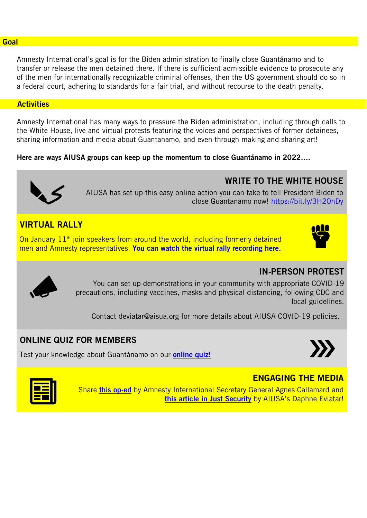#### **Goal**

Amnesty International's goal is for the Biden administration to finally close Guantánamo and to transfer or release the men detained there. If there is sufficient admissible evidence to prosecute any of the men for internationally recognizable criminal offenses, then the US government should do so in a federal court, adhering to standards for a fair trial, and without recourse to the death penalty.

#### **Activities**

Amnesty International has many ways to pressure the Biden administration, including through calls to the White House, live and virtual protests featuring the voices and perspectives of former detainees, sharing information and media about Guantanamo, and even through making and sharing art!

Here are ways AIUSA groups can keep up the momentum to close Guantánamo in 2022….



AIUSA has set up this easy online action you can take to tell President Biden to close Guantanamo now!<https://bit.ly/3H20nDy>

## VIRTUAL RALLY

On January  $11<sup>th</sup>$  join speakers from around the world, including formerly detained men and Amnesty representatives. [You can watch the virtual rally recording here.](https://www.facebook.com/watch/live/?extid=NS-UNK-UNK-UNK-IOS_GK0T-GK1C&ref=watch_permalink&v=1336470923480898)



WRITE TO THE WHITE HOUSE



You can set up demonstrations in your community with appropriate COVID-19 precautions, including vaccines, masks and physical distancing, following CDC and local guidelines.

Contact [deviatar@aisua.org](mailto:deviatar@aisua.org) for more details about AIUSA COVID-19 policies.

## ONLINE QUIZ FOR MEMBERS

Test your knowledge about Guantánamo on our **[online quiz!](https://www.amnestyusa.org/test-your-guantanamo-bay-knowledge/)** 





Share [this op-ed](https://www.aljazeera.com/opinions/2022/1/11/20-years-on-biden-must-close-guantanamo-once-and-for-all) by Amnesty International Secretary General Agnes Callamard and [this article in Just Security](https://www.justsecurity.org/79802/defending-the-rule-of-law-requires-ending-guantanamo-detention/) by AIUSA's Daphne Eviatar!

### ENGAGING THE MEDIA